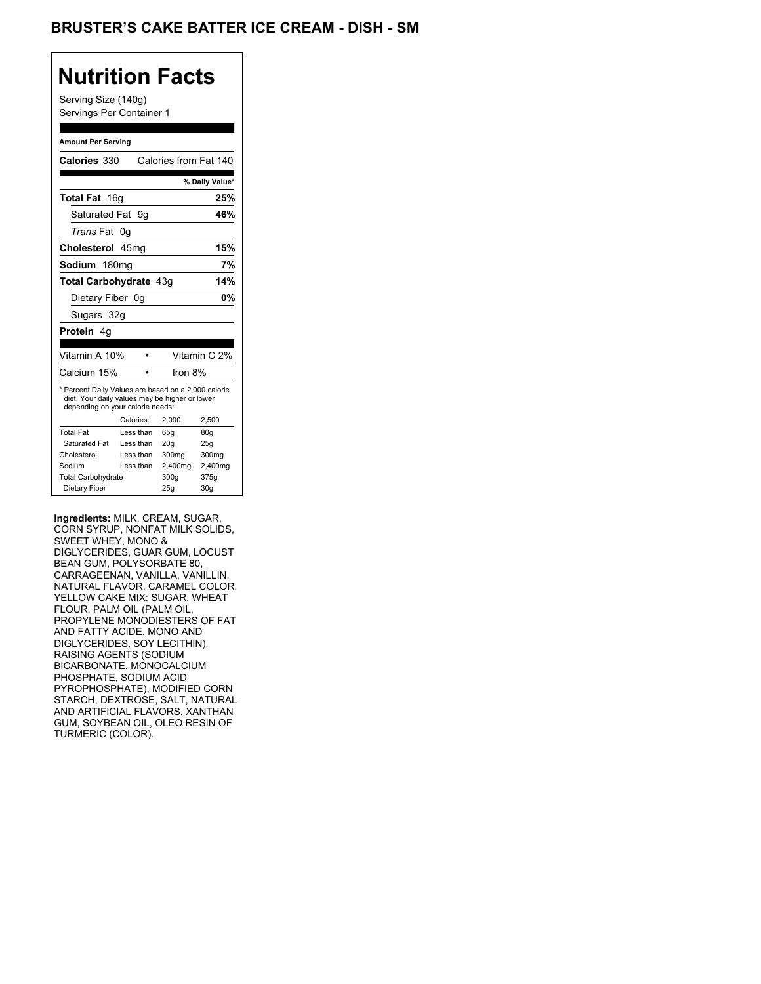# BRUSTER'S CAKE BATTER ICE CREAM - DISH - SM

# **Nutrition Facts**

Serving Size (140g) Servings Per Container 1

#### **Amount Per Serving**

| Calories 330                                                                                                                              |    |           | Calories from Fat 140 |                |
|-------------------------------------------------------------------------------------------------------------------------------------------|----|-----------|-----------------------|----------------|
|                                                                                                                                           |    |           |                       | % Daily Value* |
| Total Fat 16g                                                                                                                             |    |           |                       | 25%            |
| Saturated Fat                                                                                                                             |    | 9g        |                       | 46%            |
| <i>Trans</i> Fat                                                                                                                          | 0g |           |                       |                |
| Cholesterol 45mg                                                                                                                          |    |           |                       | 15%            |
| Sodium 180mg                                                                                                                              |    |           |                       | 7%             |
| <b>Total Carbohydrate 43g</b>                                                                                                             |    |           |                       | 14%            |
| Dietary Fiber 0g                                                                                                                          |    |           |                       | 0%             |
| Sugars 32g                                                                                                                                |    |           |                       |                |
| <b>Protein</b> 4q                                                                                                                         |    |           |                       |                |
|                                                                                                                                           |    |           |                       |                |
| Vitamin A 10%                                                                                                                             |    |           |                       | Vitamin C 2%   |
| Calcium 15%                                                                                                                               |    |           | Iron 8%               |                |
| * Percent Daily Values are based on a 2,000 calorie<br>diet. Your daily values may be higher or lower<br>depending on your calorie needs: |    |           |                       |                |
|                                                                                                                                           |    | Calories: | 2.000                 | 2.500          |
| <b>Total Fat</b>                                                                                                                          |    | Less than | 65q                   | 80g            |
| Saturated Fat                                                                                                                             |    | Less than | 20q                   | 25q            |
| Cholesterol                                                                                                                               |    | Less than | 300 <sub>mq</sub>     | 300mg          |
| Sodium                                                                                                                                    |    | Less than | 2,400mg               | 2,400mg        |
| <b>Total Carbohydrate</b>                                                                                                                 |    |           | 300q                  | 375g           |
| Dietary Fiber                                                                                                                             |    | 25q       | 30q                   |                |

**Ingredients:** MILK, CREAM, SUGAR, CORN SYRUP, NONFAT MILK SOLIDS, SWEET WHEY, MONO & DIGLYCERIDES, GUAR GUM, LOCUST BEAN GUM, POLYSORBATE 80, CARRAGEENAN, VANILLA, VANILLIN, NATURAL FLAVOR, CARAMEL COLOR. YELLOW CAKE MIX: SUGAR, WHEAT FLOUR, PALM OIL (PALM OIL, PROPYLENE MONODIESTERS OF FAT AND FATTY ACIDE, MONO AND DIGLYCERIDES, SOY LECITHIN), RAISING AGENTS (SODIUM BICARBONATE, MONOCALCIUM PHOSPHATE, SODIUM ACID PYROPHOSPHATE), MODIFIED CORN STARCH, DEXTROSE, SALT, NATURAL AND ARTIFICIAL FLAVORS, XANTHAN GUM, SOYBEAN OIL, OLEO RESIN OF TURMERIC (COLOR).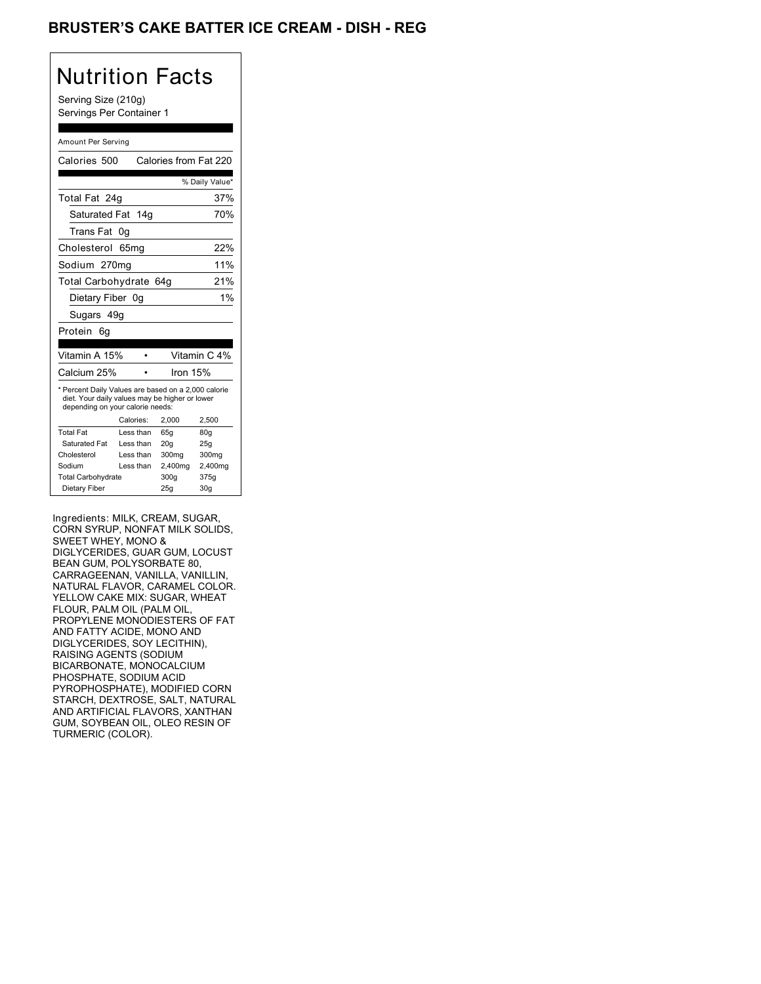# BRUSTER'S CAKE BATTER ICE CREAM - DISH - REG

# Nutrition Facts Serving Size (210g) Servings Per Container 1

|                                                                                                                                           | Amount Per Serving |                       |                |  |  |
|-------------------------------------------------------------------------------------------------------------------------------------------|--------------------|-----------------------|----------------|--|--|
| Calories 500                                                                                                                              |                    | Calories from Fat 220 |                |  |  |
|                                                                                                                                           |                    |                       | % Daily Value* |  |  |
| Total Fat 24g                                                                                                                             |                    |                       | 37%            |  |  |
| Saturated Fat                                                                                                                             | 14q                |                       | 70%            |  |  |
| <b>Trans Fat</b>                                                                                                                          | 0g                 |                       |                |  |  |
| Cholesterol                                                                                                                               | 65mg               |                       | 22%            |  |  |
| Sodium 270mg                                                                                                                              |                    |                       | 11%            |  |  |
| Total Carbohydrate 64q                                                                                                                    |                    |                       | 21%            |  |  |
| Dietary Fiber 0g                                                                                                                          |                    |                       | $1\%$          |  |  |
|                                                                                                                                           | Sugars 49g         |                       |                |  |  |
| Protein<br>6а                                                                                                                             |                    |                       |                |  |  |
|                                                                                                                                           |                    |                       |                |  |  |
| Vitamin A 15%                                                                                                                             |                    |                       | Vitamin C 4%   |  |  |
| Calcium 25%                                                                                                                               |                    | Iron 15%              |                |  |  |
| * Percent Daily Values are based on a 2,000 calorie<br>diet. Your daily values may be higher or lower<br>depending on your calorie needs: |                    |                       |                |  |  |
|                                                                                                                                           | Calories:          | 2.000                 | 2.500          |  |  |
| <b>Total Fat</b>                                                                                                                          | Less than          | 65q                   | 80q            |  |  |
| Saturated Fat                                                                                                                             | Less than          | 20 <sub>g</sub>       | 25g            |  |  |
| Cholesterol                                                                                                                               | Less than          | 300mg                 | 300mg          |  |  |
| Sodium                                                                                                                                    | Less than          | 2,400mg               | 2,400mg        |  |  |
| <b>Total Carbohydrate</b>                                                                                                                 |                    | 300q                  | 375q           |  |  |
| Dietary Fiber                                                                                                                             |                    | 25g                   | 30q            |  |  |

Ingredients: MILK, CREAM, SUGAR, CORN SYRUP, NONFAT MILK SOLIDS, SWEET WHEY, MONO & DIGLYCERIDES, GUAR GUM, LOCUST BEAN GUM, POLYSORBATE 80, CARRAGEENAN, VANILLA, VANILLIN, NATURAL FLAVOR, CARAMEL COLOR. YELLOW CAKE MIX: SUGAR, WHEAT FLOUR, PALM OIL (PALM OIL, PROPYLENE MONODIESTERS OF FAT AND FATTY ACIDE, MONO AND DIGLYCERIDES, SOY LECITHIN), RAISING AGENTS (SODIUM BICARBONATE, MONOCALCIUM PHOSPHATE, SODIUM ACID PYROPHOSPHATE), MODIFIED CORN STARCH, DEXTROSE, SALT, NATURAL AND ARTIFICIAL FLAVORS, XANTHAN GUM, SOYBEAN OIL, OLEO RESIN OF TURMERIC (COLOR).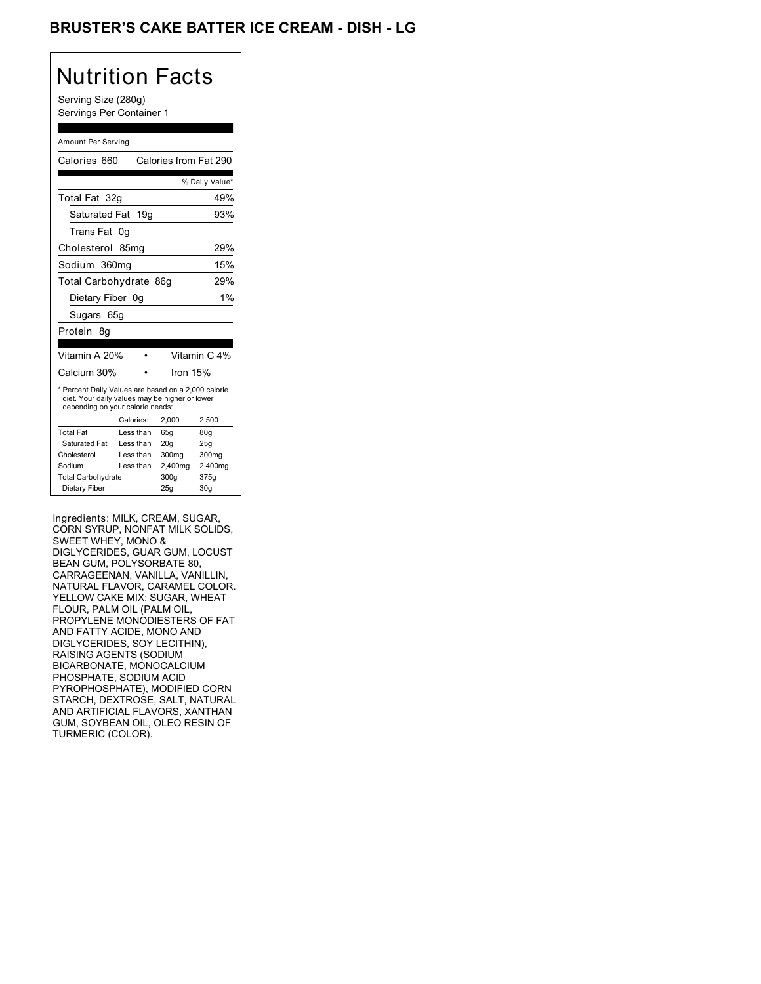# BRUSTER'S CAKE BATTER ICE CREAM - DISH - LG

# Nutrition Facts

Serving Size (280g) Servings Per Container 1

#### Amount Per Serving

| Calories 660                                                                                                                              |                  |           |          | Calories from Fat 290 |
|-------------------------------------------------------------------------------------------------------------------------------------------|------------------|-----------|----------|-----------------------|
|                                                                                                                                           |                  |           |          | % Daily Value*        |
| Total Fat 32q                                                                                                                             |                  |           |          | 49%                   |
| Saturated Fat                                                                                                                             |                  | 19g       |          | 93%                   |
| Trans Fat                                                                                                                                 | 0g               |           |          |                       |
| Cholesterol                                                                                                                               | 85 <sub>mq</sub> |           |          | 29%                   |
| Sodium 360mg                                                                                                                              |                  |           |          | 15%                   |
| Total Carbohydrate 86g                                                                                                                    |                  |           |          | 29%                   |
| Dietary Fiber 0q                                                                                                                          |                  |           |          | 1%                    |
| Sugars 65g                                                                                                                                |                  |           |          |                       |
| Protein 8q                                                                                                                                |                  |           |          |                       |
|                                                                                                                                           |                  |           |          |                       |
| Vitamin A 20%                                                                                                                             |                  |           |          | Vitamin C 4%          |
| Calcium 30%                                                                                                                               |                  |           | Iron 15% |                       |
| * Percent Daily Values are based on a 2,000 calorie<br>diet. Your daily values may be higher or lower<br>depending on your calorie needs: |                  |           |          |                       |
|                                                                                                                                           | Calories:        |           | 2.000    | 2,500                 |
| <b>Total Fat</b>                                                                                                                          |                  | Less than | 65q      | 80q                   |
| Saturated Fat                                                                                                                             |                  | Less than | 20q      | 25g                   |
| Cholesterol                                                                                                                               |                  | Less than | 300mg    | 300 <sub>mq</sub>     |
| Sodium                                                                                                                                    |                  | Less than | 2,400mg  | 2,400mg               |
| <b>Total Carbohydrate</b>                                                                                                                 |                  |           | 300q     | 375g                  |
| Dietary Fiber                                                                                                                             |                  |           | 25g      | 30q                   |
|                                                                                                                                           |                  |           |          |                       |

Ingredients: MILK, CREAM, SUGAR, CORN SYRUP, NONFAT MILK SOLIDS, SWEET WHEY, MONO & DIGLYCERIDES, GUAR GUM, LOCUST BEAN GUM, POLYSORBATE 80, CARRAGEENAN, VANILLA, VANILLIN, NATURAL FLAVOR, CARAMEL COLOR. YELLOW CAKE MIX: SUGAR, WHEAT FLOUR, PALM OIL (PALM OIL, PROPYLENE MONODIESTERS OF FAT AND FATTY ACIDE, MONO AND DIGLYCERIDES, SOY LECITHIN), RAISING AGENTS (SODIUM BICARBONATE, MONOCALCIUM PHOSPHATE, SODIUM ACID PYROPHOSPHATE), MODIFIED CORN STARCH, DEXTROSE, SALT, NATURAL AND ARTIFICIAL FLAVORS, XANTHAN GUM, SOYBEAN OIL, OLEO RESIN OF TURMERIC (COLOR).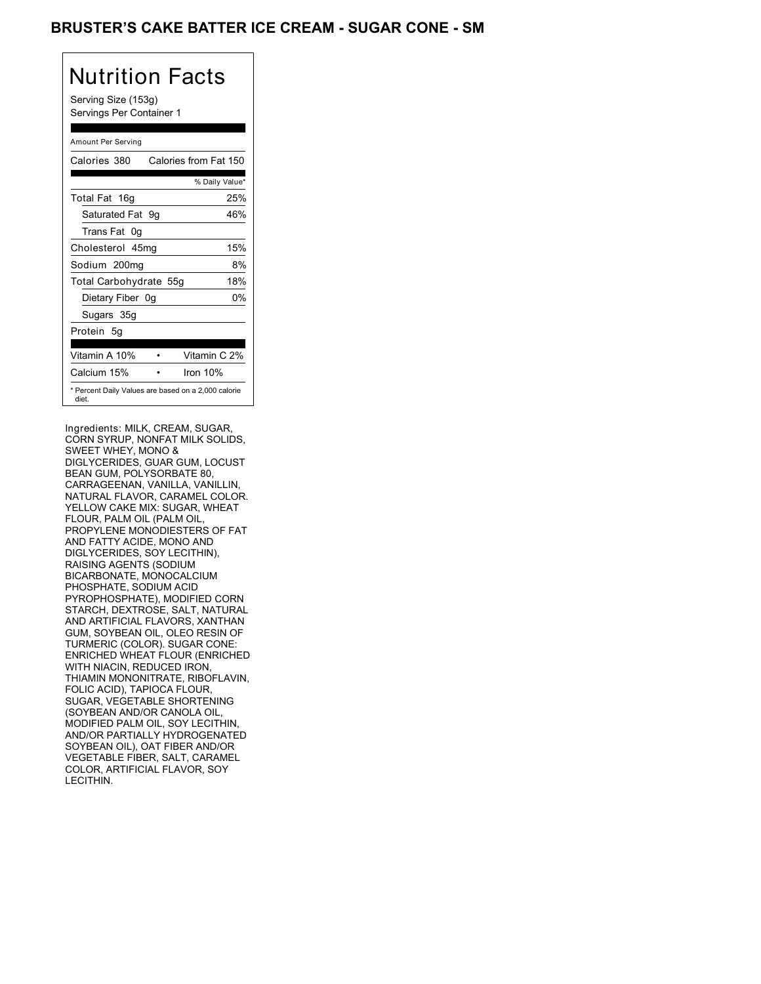# BRUSTER'S CAKE BATTER ICE CREAM - SUGAR CONE - SM

| Nutrition Facts<br>Serving Size (153g)<br>Servings Per Container 1 |
|--------------------------------------------------------------------|
| Amount Per Serving                                                 |
| Calories from Fat 150<br>Calories 380                              |
| % Daily Value*                                                     |
| Total Fat 16g<br>25%                                               |
| Saturated Fat<br>46%<br>9g                                         |
| Trans Fat 0g                                                       |
| Cholesterol 45mg<br>15%                                            |
| 8%<br>Sodium 200mg                                                 |
| 18%<br>Total Carbohydrate 55g                                      |
| 0%<br>Dietary Fiber 0g                                             |
| Sugars 35g                                                         |
| Protein<br>5q                                                      |
| Vitamin C 2%<br>Vitamin A 10%                                      |
| Calcium 15%<br>Iron 10%                                            |
| * Percent Daily Values are based on a 2,000 calorie<br>diet.       |

Ingredients: MILK, CREAM, SUGAR, CORN SYRUP, NONFAT MILK SOLIDS, SWEET WHEY, MONO & DIGLYCERIDES, GUAR GUM, LOCUST BEAN GUM, POLYSORBATE 80, CARRAGEENAN, VANILLA, VANILLIN, NATURAL FLAVOR, CARAMEL COLOR. YELLOW CAKE MIX: SUGAR, WHEAT FLOUR, PALM OIL (PALM OIL, PROPYLENE MONODIESTERS OF FAT AND FATTY ACIDE, MONO AND DIGLYCERIDES, SOY LECITHIN), RAISING AGENTS (SODIUM BICARBONATE, MONOCALCIUM PHOSPHATE, SODIUM ACID PYROPHOSPHATE), MODIFIED CORN STARCH, DEXTROSE, SALT, NATURAL AND ARTIFICIAL FLAVORS, XANTHAN GUM, SOYBEAN OIL, OLEO RESIN OF TURMERIC (COLOR). SUGAR CONE: ENRICHED WHEAT FLOUR (ENRICHED WITH NIACIN, REDUCED IRON, THIAMIN MONONITRATE, RIBOFLAVIN, FOLIC ACID), TAPIOCA FLOUR, SUGAR, VEGETABLE SHORTENING (SOYBEAN AND/OR CANOLA OIL, MODIFIED PALM OIL, SOY LECITHIN, AND/OR PARTIALLY HYDROGENATED SOYBEAN OIL), OAT FIBER AND/OR VEGETABLE FIBER, SALT, CARAMEL COLOR, ARTIFICIAL FLAVOR, SOY LECITHIN.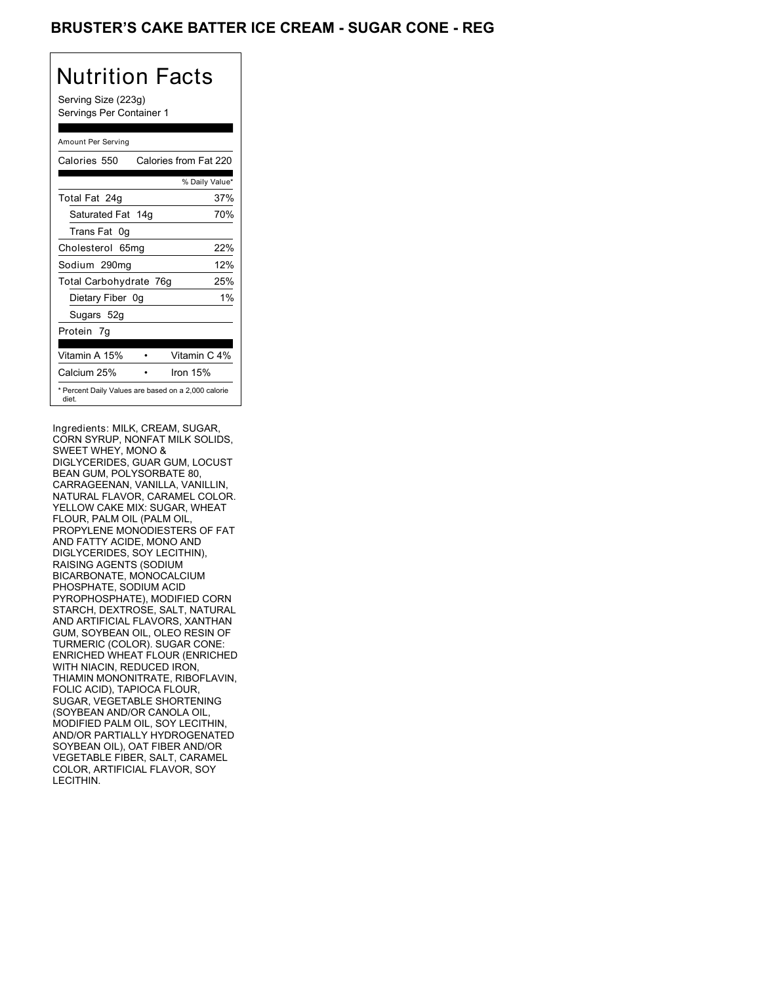### BRUSTER'S CAKE BATTER ICE CREAM - SUGAR CONE - REG

# Nutrition Facts

Serving Size (223g) Servings Per Container 1

| Amount Per Serving                                           |                       |
|--------------------------------------------------------------|-----------------------|
| Calories 550                                                 | Calories from Fat 220 |
|                                                              | % Daily Value*        |
| Total Fat 24g                                                | 37%                   |
| Saturated Fat 14g                                            | 70%                   |
| Trans Fat<br>0g                                              |                       |
| Cholesterol 65mg                                             | 22%                   |
| Sodium 290mg                                                 | 12%                   |
| Total Carbohydrate 76g                                       | 25%                   |
| Dietary Fiber 0g                                             | $1\%$                 |
| Sugars 52g                                                   |                       |
| Protein 7q                                                   |                       |
|                                                              |                       |
| Vitamin A 15%                                                | Vitamin C 4%          |
| Calcium 25%                                                  | Iron 15%              |
| * Percent Daily Values are based on a 2,000 calorie<br>diet. |                       |

Ingredients: MILK, CREAM, SUGAR, CORN SYRUP, NONFAT MILK SOLIDS, SWEET WHEY, MONO & DIGLYCERIDES, GUAR GUM, LOCUST BEAN GUM, POLYSORBATE 80, CARRAGEENAN, VANILLA, VANILLIN, NATURAL FLAVOR, CARAMEL COLOR. YELLOW CAKE MIX: SUGAR, WHEAT FLOUR, PALM OIL (PALM OIL, PROPYLENE MONODIESTERS OF FAT AND FATTY ACIDE, MONO AND DIGLYCERIDES, SOY LECITHIN), RAISING AGENTS (SODIUM BICARBONATE, MONOCALCIUM PHOSPHATE, SODIUM ACID PYROPHOSPHATE), MODIFIED CORN STARCH, DEXTROSE, SALT, NATURAL AND ARTIFICIAL FLAVORS, XANTHAN GUM, SOYBEAN OIL, OLEO RESIN OF TURMERIC (COLOR). SUGAR CONE: ENRICHED WHEAT FLOUR (ENRICHED WITH NIACIN, REDUCED IRON, THIAMIN MONONITRATE, RIBOFLAVIN, FOLIC ACID), TAPIOCA FLOUR, SUGAR, VEGETABLE SHORTENING (SOYBEAN AND/OR CANOLA OIL, MODIFIED PALM OIL, SOY LECITHIN, AND/OR PARTIALLY HYDROGENATED SOYBEAN OIL), OAT FIBER AND/OR VEGETABLE FIBER, SALT, CARAMEL COLOR, ARTIFICIAL FLAVOR, SOY LECITHIN.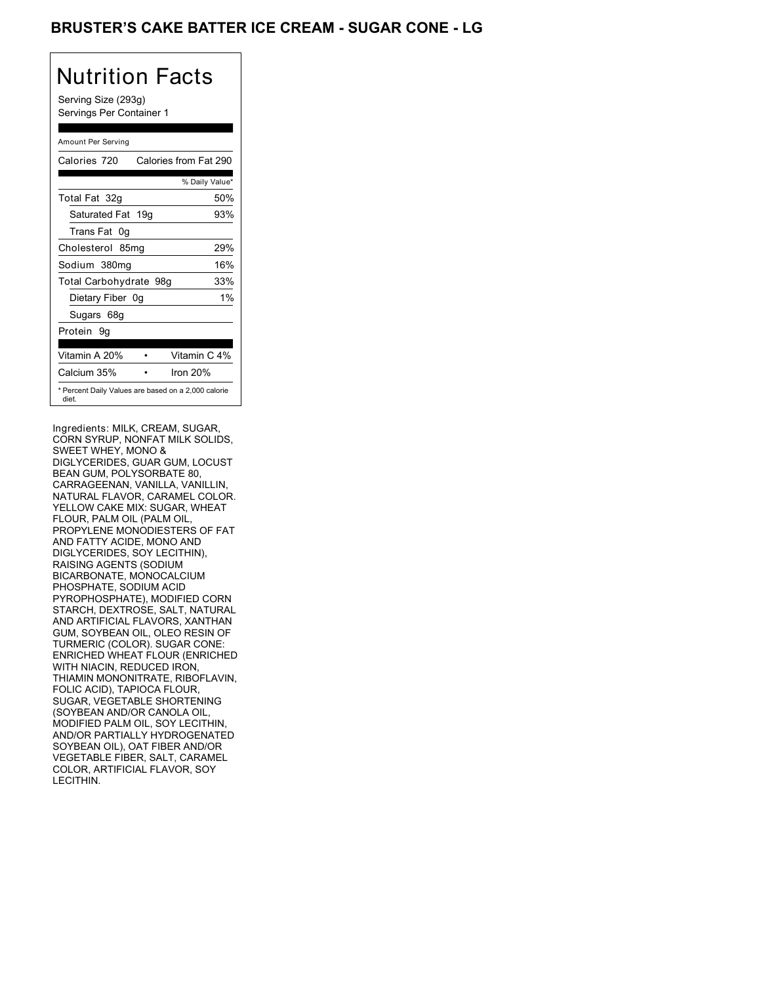# BRUSTER'S CAKE BATTER ICE CREAM - SUGAR CONE - LG

# Nutrition Facts

Serving Size (293g) Servings Per Container 1

| Amount Per Serving                                           |                       |
|--------------------------------------------------------------|-----------------------|
| Calories 720                                                 | Calories from Fat 290 |
|                                                              | % Daily Value*        |
| Total Fat 32g                                                | 50%                   |
| Saturated Fat 19g                                            | 93%                   |
| Trans Fat 0g                                                 |                       |
| Cholesterol 85mg                                             | 29%                   |
| Sodium 380mg                                                 | 16%                   |
| Total Carbohydrate 98g                                       | 33%                   |
| Dietary Fiber 0g                                             | $1\%$                 |
| Sugars 68g                                                   |                       |
| Protein 9q                                                   |                       |
|                                                              |                       |
| Vitamin A 20%                                                | Vitamin C 4%          |
| Calcium 35%                                                  | Iron 20%              |
| * Percent Daily Values are based on a 2,000 calorie<br>diet. |                       |

Ingredients: MILK, CREAM, SUGAR, CORN SYRUP, NONFAT MILK SOLIDS, SWEET WHEY, MONO & DIGLYCERIDES, GUAR GUM, LOCUST BEAN GUM, POLYSORBATE 80, CARRAGEENAN, VANILLA, VANILLIN, NATURAL FLAVOR, CARAMEL COLOR. YELLOW CAKE MIX: SUGAR, WHEAT FLOUR, PALM OIL (PALM OIL, PROPYLENE MONODIESTERS OF FAT AND FATTY ACIDE, MONO AND DIGLYCERIDES, SOY LECITHIN), RAISING AGENTS (SODIUM BICARBONATE, MONOCALCIUM PHOSPHATE, SODIUM ACID PYROPHOSPHATE), MODIFIED CORN STARCH, DEXTROSE, SALT, NATURAL AND ARTIFICIAL FLAVORS, XANTHAN GUM, SOYBEAN OIL, OLEO RESIN OF TURMERIC (COLOR). SUGAR CONE: ENRICHED WHEAT FLOUR (ENRICHED WITH NIACIN, REDUCED IRON, THIAMIN MONONITRATE, RIBOFLAVIN, FOLIC ACID), TAPIOCA FLOUR, SUGAR, VEGETABLE SHORTENING (SOYBEAN AND/OR CANOLA OIL, MODIFIED PALM OIL, SOY LECITHIN, AND/OR PARTIALLY HYDROGENATED SOYBEAN OIL), OAT FIBER AND/OR VEGETABLE FIBER, SALT, CARAMEL COLOR, ARTIFICIAL FLAVOR, SOY LECITHIN.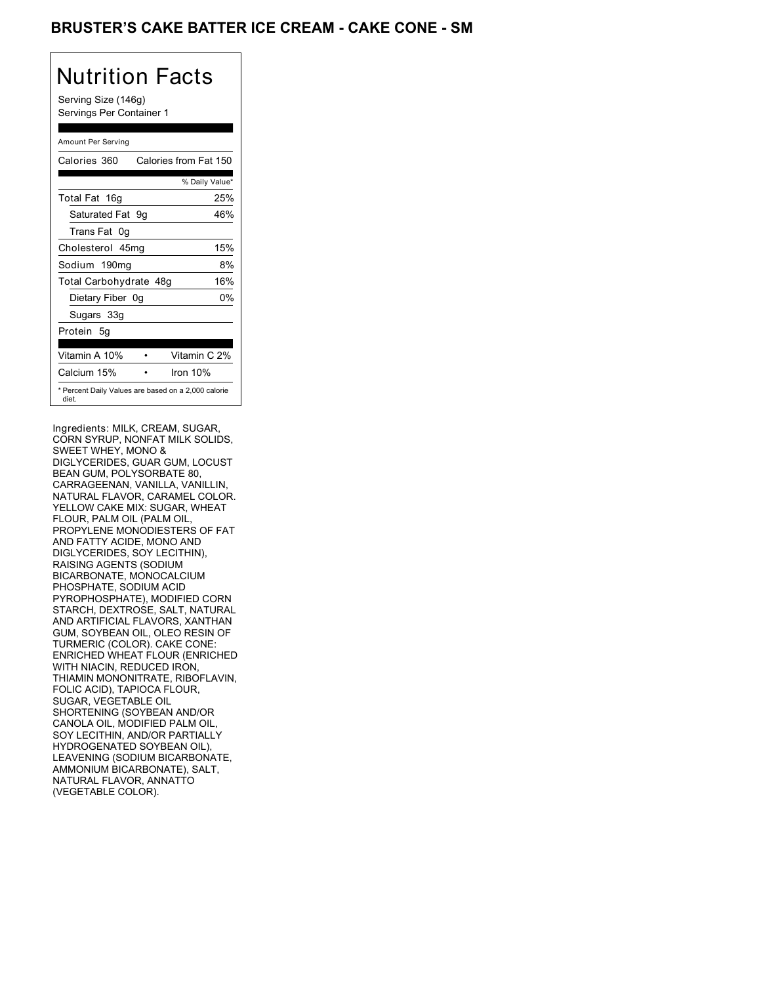# BRUSTER'S CAKE BATTER ICE CREAM - CAKE CONE - SM

# Nutrition Facts

Serving Size (146g) Servings Per Container 1

#### Amount Per Serving Calories 360 Calories from Fat 150 % Daily Value\* Total Fat 16g 25% Saturated Fat 9g 46% Trans Fat 0g Cholesterol 45mg 15% Sodium 190mg 8% Total Carbohydrate 48g 16% Dietary Fiber 0g 0% Sugars 33g Protein 5g Vitamin A 10% • Vitamin C 2% Calcium 15% • Iron 10% \* Percent Daily Values are based on a 2,000 calorie diet.

Ingredients: MILK, CREAM, SUGAR, CORN SYRUP, NONFAT MILK SOLIDS, SWEET WHEY, MONO & DIGLYCERIDES, GUAR GUM, LOCUST BEAN GUM, POLYSORBATE 80, CARRAGEENAN, VANILLA, VANILLIN, NATURAL FLAVOR, CARAMEL COLOR. YELLOW CAKE MIX: SUGAR, WHEAT FLOUR, PALM OIL (PALM OIL, PROPYLENE MONODIESTERS OF FAT AND FATTY ACIDE, MONO AND DIGLYCERIDES, SOY LECITHIN), RAISING AGENTS (SODIUM BICARBONATE, MONOCALCIUM PHOSPHATE, SODIUM ACID PYROPHOSPHATE), MODIFIED CORN STARCH, DEXTROSE, SALT, NATURAL AND ARTIFICIAL FLAVORS, XANTHAN GUM, SOYBEAN OIL, OLEO RESIN OF TURMERIC (COLOR). CAKE CONE: ENRICHED WHEAT FLOUR (ENRICHED WITH NIACIN, REDUCED IRON, THIAMIN MONONITRATE, RIBOFLAVIN, FOLIC ACID), TAPIOCA FLOUR, SUGAR, VEGETABLE OIL SHORTENING (SOYBEAN AND/OR CANOLA OIL, MODIFIED PALM OIL, SOY LECITHIN, AND/OR PARTIALLY HYDROGENATED SOYBEAN OIL), LEAVENING (SODIUM BICARBONATE, AMMONIUM BICARBONATE), SALT, NATURAL FLAVOR, ANNATTO (VEGETABLE COLOR).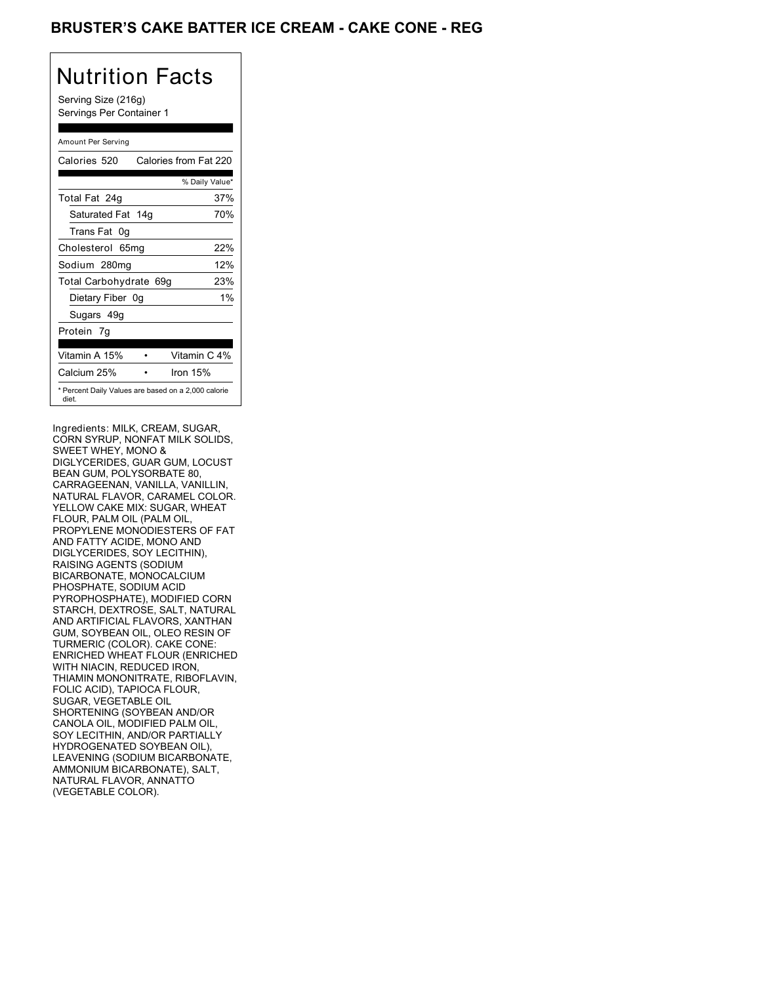# BRUSTER'S CAKE BATTER ICE CREAM - CAKE CONE - REG

# Nutrition Facts

Serving Size (216g) Servings Per Container 1

| Amount Per Serving                                           |     |                       |
|--------------------------------------------------------------|-----|-----------------------|
| Calories 520                                                 |     | Calories from Fat 220 |
|                                                              |     | % Daily Value*        |
| Total Fat 24g                                                |     | 37%                   |
| Saturated Fat 14g                                            |     | 70%                   |
| Trans Fat<br>0g                                              |     |                       |
| Cholesterol 65mg                                             |     | 22%                   |
| Sodium 280mg                                                 |     | 12%                   |
| Total Carbohydrate 69g                                       |     | 23%                   |
| Dietary Fiber                                                | .0q | $1\%$                 |
| Sugars 49g                                                   |     |                       |
| Protein 7q                                                   |     |                       |
|                                                              |     |                       |
| Vitamin A 15%                                                |     | Vitamin C 4%          |
| Calcium 25%                                                  |     | Iron 15%              |
| * Percent Daily Values are based on a 2,000 calorie<br>diet. |     |                       |

Ingredients: MILK, CREAM, SUGAR, CORN SYRUP, NONFAT MILK SOLIDS, SWEET WHEY, MONO & DIGLYCERIDES, GUAR GUM, LOCUST BEAN GUM, POLYSORBATE 80, CARRAGEENAN, VANILLA, VANILLIN, NATURAL FLAVOR, CARAMEL COLOR. YELLOW CAKE MIX: SUGAR, WHEAT FLOUR, PALM OIL (PALM OIL, PROPYLENE MONODIESTERS OF FAT AND FATTY ACIDE, MONO AND DIGLYCERIDES, SOY LECITHIN), RAISING AGENTS (SODIUM BICARBONATE, MONOCALCIUM PHOSPHATE, SODIUM ACID PYROPHOSPHATE), MODIFIED CORN STARCH, DEXTROSE, SALT, NATURAL AND ARTIFICIAL FLAVORS, XANTHAN GUM, SOYBEAN OIL, OLEO RESIN OF TURMERIC (COLOR). CAKE CONE: ENRICHED WHEAT FLOUR (ENRICHED WITH NIACIN, REDUCED IRON, THIAMIN MONONITRATE, RIBOFLAVIN, FOLIC ACID), TAPIOCA FLOUR, SUGAR, VEGETABLE OIL SHORTENING (SOYBEAN AND/OR CANOLA OIL, MODIFIED PALM OIL, SOY LECITHIN, AND/OR PARTIALLY HYDROGENATED SOYBEAN OIL), LEAVENING (SODIUM BICARBONATE, AMMONIUM BICARBONATE), SALT, NATURAL FLAVOR, ANNATTO (VEGETABLE COLOR).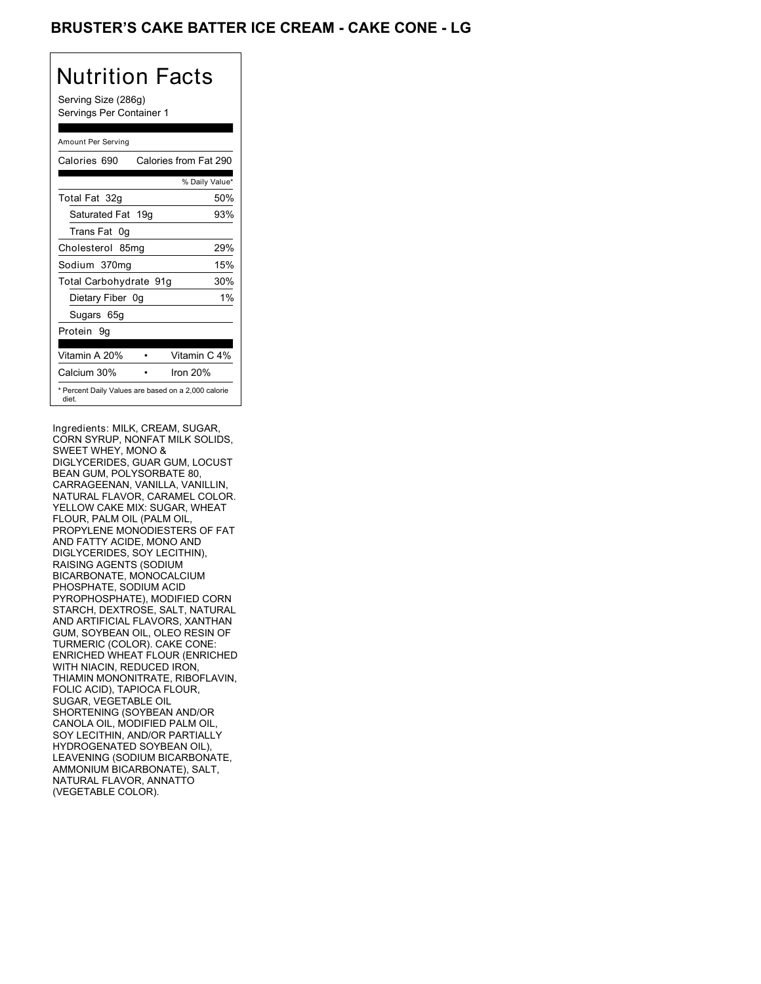# BRUSTER'S CAKE BATTER ICE CREAM - CAKE CONE - LG

# Nutrition Facts

Serving Size (286g) Servings Per Container 1

| Amount Per Serving                                           |                       |
|--------------------------------------------------------------|-----------------------|
| Calories 690                                                 | Calories from Fat 290 |
|                                                              | % Daily Value*        |
| Total Fat 32g                                                | 50%                   |
| Saturated Fat 19g                                            | 93%                   |
| Trans Fat<br>0g                                              |                       |
| Cholesterol 85mg                                             | 29%                   |
| Sodium 370mg                                                 | 15%                   |
| Total Carbohydrate 91g                                       | 30%                   |
| Dietary Fiber 0g                                             | $1\%$                 |
| Sugars 65g                                                   |                       |
| Protein 9q                                                   |                       |
|                                                              |                       |
| Vitamin A 20%                                                | Vitamin C 4%          |
| Calcium 30%                                                  | Iron 20%              |
| * Percent Daily Values are based on a 2,000 calorie<br>diet. |                       |

Ingredients: MILK, CREAM, SUGAR, CORN SYRUP, NONFAT MILK SOLIDS, SWEET WHEY, MONO & DIGLYCERIDES, GUAR GUM, LOCUST BEAN GUM, POLYSORBATE 80, CARRAGEENAN, VANILLA, VANILLIN, NATURAL FLAVOR, CARAMEL COLOR. YELLOW CAKE MIX: SUGAR, WHEAT FLOUR, PALM OIL (PALM OIL, PROPYLENE MONODIESTERS OF FAT AND FATTY ACIDE, MONO AND DIGLYCERIDES, SOY LECITHIN), RAISING AGENTS (SODIUM BICARBONATE, MONOCALCIUM PHOSPHATE, SODIUM ACID PYROPHOSPHATE), MODIFIED CORN STARCH, DEXTROSE, SALT, NATURAL AND ARTIFICIAL FLAVORS, XANTHAN GUM, SOYBEAN OIL, OLEO RESIN OF TURMERIC (COLOR). CAKE CONE: ENRICHED WHEAT FLOUR (ENRICHED WITH NIACIN, REDUCED IRON, THIAMIN MONONITRATE, RIBOFLAVIN, FOLIC ACID), TAPIOCA FLOUR, SUGAR, VEGETABLE OIL SHORTENING (SOYBEAN AND/OR CANOLA OIL, MODIFIED PALM OIL, SOY LECITHIN, AND/OR PARTIALLY HYDROGENATED SOYBEAN OIL), LEAVENING (SODIUM BICARBONATE, AMMONIUM BICARBONATE), SALT, NATURAL FLAVOR, ANNATTO (VEGETABLE COLOR).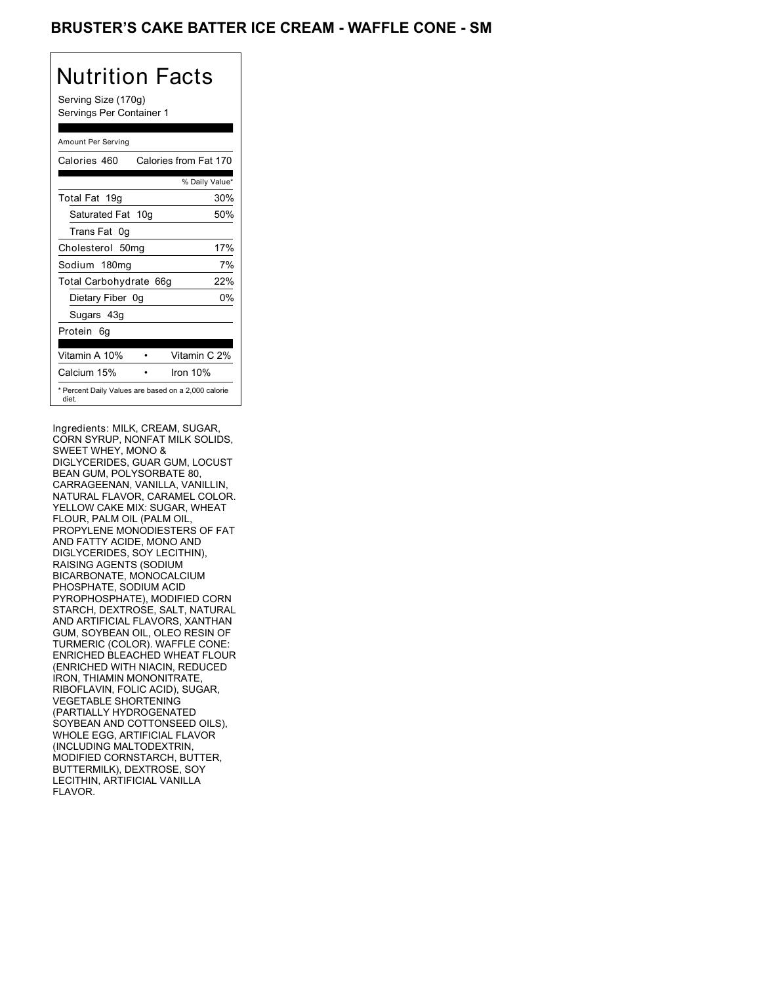### BRUSTER'S CAKE BATTER ICE CREAM - WAFFLE CONE - SM

# Nutrition Facts

Serving Size (170g) Servings Per Container 1

| Amount Per Serving                                           |                       |
|--------------------------------------------------------------|-----------------------|
| Calories 460                                                 | Calories from Fat 170 |
|                                                              | % Daily Value*        |
| Total Fat 19g                                                | 30%                   |
| Saturated Fat 10g                                            | 50%                   |
| Trans Fat 0g                                                 |                       |
| Cholesterol 50mg                                             | 17%                   |
| Sodium 180mg                                                 | 7%                    |
| Total Carbohydrate 66g                                       | 22%                   |
| Dietary Fiber 0q                                             | 0%                    |
| Sugars 43g                                                   |                       |
| Protein<br>6q                                                |                       |
|                                                              |                       |
| Vitamin A 10%                                                | Vitamin C 2%          |
| Calcium 15%                                                  | Iron 10%              |
| * Percent Daily Values are based on a 2,000 calorie<br>diet. |                       |

Ingredients: MILK, CREAM, SUGAR, CORN SYRUP, NONFAT MILK SOLIDS, SWEET WHEY, MONO & DIGLYCERIDES, GUAR GUM, LOCUST BEAN GUM, POLYSORBATE 80, CARRAGEENAN, VANILLA, VANILLIN, NATURAL FLAVOR, CARAMEL COLOR. YELLOW CAKE MIX: SUGAR, WHEAT FLOUR, PALM OIL (PALM OIL, PROPYLENE MONODIESTERS OF FAT AND FATTY ACIDE, MONO AND DIGLYCERIDES, SOY LECITHIN), RAISING AGENTS (SODIUM BICARBONATE, MONOCALCIUM PHOSPHATE, SODIUM ACID PYROPHOSPHATE), MODIFIED CORN STARCH, DEXTROSE, SALT, NATURAL AND ARTIFICIAL FLAVORS, XANTHAN GUM, SOYBEAN OIL, OLEO RESIN OF TURMERIC (COLOR). WAFFLE CONE: ENRICHED BLEACHED WHEAT FLOUR (ENRICHED WITH NIACIN, REDUCED IRON, THIAMIN MONONITRATE, RIBOFLAVIN, FOLIC ACID), SUGAR, VEGETABLE SHORTENING (PARTIALLY HYDROGENATED SOYBEAN AND COTTONSEED OILS), WHOLE EGG, ARTIFICIAL FLAVOR (INCLUDING MALTODEXTRIN, MODIFIED CORNSTARCH, BUTTER, BUTTERMILK), DEXTROSE, SOY LECITHIN, ARTIFICIAL VANILLA FLAVOR.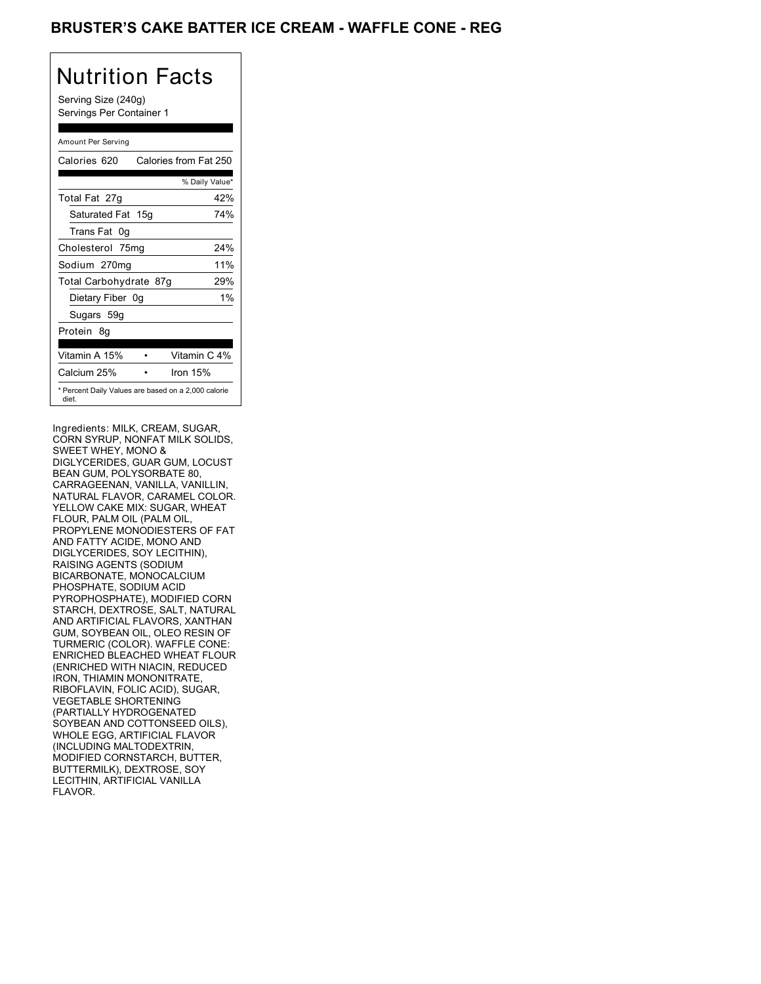### BRUSTER'S CAKE BATTER ICE CREAM - WAFFLE CONE - REG

# Nutrition Facts

Serving Size (240g) Servings Per Container 1

| Amount Per Serving                                           |                       |
|--------------------------------------------------------------|-----------------------|
| Calories 620                                                 | Calories from Fat 250 |
|                                                              | % Daily Value*        |
| Total Fat 27g                                                | 42%                   |
| Saturated Fat 15g                                            | 74%                   |
| Trans Fat<br>.0a                                             |                       |
| Cholesterol 75mg                                             | 24%                   |
| Sodium 270mg                                                 | 11%                   |
| Total Carbohydrate 87g                                       | 29%                   |
| Dietary Fiber 0g                                             | $1\%$                 |
| Sugars 59g                                                   |                       |
| Protein<br>8g                                                |                       |
| Vitamin A 15%                                                | Vitamin C 4%          |
|                                                              |                       |
| Calcium 25%                                                  | Iron 15%              |
| * Percent Daily Values are based on a 2,000 calorie<br>diet. |                       |

Ingredients: MILK, CREAM, SUGAR, CORN SYRUP, NONFAT MILK SOLIDS, SWEET WHEY, MONO & DIGLYCERIDES, GUAR GUM, LOCUST BEAN GUM, POLYSORBATE 80, CARRAGEENAN, VANILLA, VANILLIN, NATURAL FLAVOR, CARAMEL COLOR. YELLOW CAKE MIX: SUGAR, WHEAT FLOUR, PALM OIL (PALM OIL, PROPYLENE MONODIESTERS OF FAT AND FATTY ACIDE, MONO AND DIGLYCERIDES, SOY LECITHIN), RAISING AGENTS (SODIUM BICARBONATE, MONOCALCIUM PHOSPHATE, SODIUM ACID PYROPHOSPHATE), MODIFIED CORN STARCH, DEXTROSE, SALT, NATURAL AND ARTIFICIAL FLAVORS, XANTHAN GUM, SOYBEAN OIL, OLEO RESIN OF TURMERIC (COLOR). WAFFLE CONE: ENRICHED BLEACHED WHEAT FLOUR (ENRICHED WITH NIACIN, REDUCED IRON, THIAMIN MONONITRATE, RIBOFLAVIN, FOLIC ACID), SUGAR, VEGETABLE SHORTENING (PARTIALLY HYDROGENATED SOYBEAN AND COTTONSEED OILS), WHOLE EGG, ARTIFICIAL FLAVOR (INCLUDING MALTODEXTRIN, MODIFIED CORNSTARCH, BUTTER, BUTTERMILK), DEXTROSE, SOY LECITHIN, ARTIFICIAL VANILLA FLAVOR.